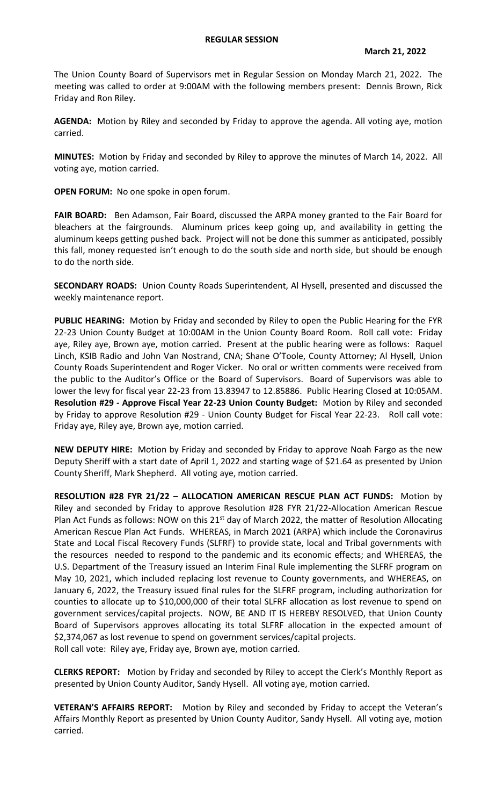The Union County Board of Supervisors met in Regular Session on Monday March 21, 2022. The meeting was called to order at 9:00AM with the following members present: Dennis Brown, Rick Friday and Ron Riley.

**AGENDA:** Motion by Riley and seconded by Friday to approve the agenda. All voting aye, motion carried.

**MINUTES:** Motion by Friday and seconded by Riley to approve the minutes of March 14, 2022. All voting aye, motion carried.

**OPEN FORUM:** No one spoke in open forum.

FAIR BOARD: Ben Adamson, Fair Board, discussed the ARPA money granted to the Fair Board for bleachers at the fairgrounds. Aluminum prices keep going up, and availability in getting the aluminum keeps getting pushed back. Project will not be done this summer as anticipated, possibly this fall, money requested isn't enough to do the south side and north side, but should be enough to do the north side.

**SECONDARY ROADS:** Union County Roads Superintendent, Al Hysell, presented and discussed the weekly maintenance report.

**PUBLIC HEARING:** Motion by Friday and seconded by Riley to open the Public Hearing for the FYR 22-23 Union County Budget at 10:00AM in the Union County Board Room. Roll call vote: Friday aye, Riley aye, Brown aye, motion carried. Present at the public hearing were as follows: Raquel Linch, KSIB Radio and John Van Nostrand, CNA; Shane O'Toole, County Attorney; Al Hysell, Union County Roads Superintendent and Roger Vicker. No oral or written comments were received from the public to the Auditor's Office or the Board of Supervisors. Board of Supervisors was able to lower the levy for fiscal year 22-23 from 13.83947 to 12.85886. Public Hearing Closed at 10:05AM. **Resolution #29 - Approve Fiscal Year 22-23 Union County Budget:** Motion by Riley and seconded by Friday to approve Resolution #29 - Union County Budget for Fiscal Year 22-23. Roll call vote: Friday aye, Riley aye, Brown aye, motion carried.

**NEW DEPUTY HIRE:** Motion by Friday and seconded by Friday to approve Noah Fargo as the new Deputy Sheriff with a start date of April 1, 2022 and starting wage of \$21.64 as presented by Union County Sheriff, Mark Shepherd. All voting aye, motion carried.

**RESOLUTION #28 FYR 21/22 – ALLOCATION AMERICAN RESCUE PLAN ACT FUNDS:** Motion by Riley and seconded by Friday to approve Resolution #28 FYR 21/22-Allocation American Rescue Plan Act Funds as follows: NOW on this 21<sup>st</sup> day of March 2022, the matter of Resolution Allocating American Rescue Plan Act Funds. WHEREAS, in March 2021 (ARPA) which include the Coronavirus State and Local Fiscal Recovery Funds (SLFRF) to provide state, local and Tribal governments with the resources needed to respond to the pandemic and its economic effects; and WHEREAS, the U.S. Department of the Treasury issued an Interim Final Rule implementing the SLFRF program on May 10, 2021, which included replacing lost revenue to County governments, and WHEREAS, on January 6, 2022, the Treasury issued final rules for the SLFRF program, including authorization for counties to allocate up to \$10,000,000 of their total SLFRF allocation as lost revenue to spend on government services/capital projects. NOW, BE AND IT IS HEREBY RESOLVED, that Union County Board of Supervisors approves allocating its total SLFRF allocation in the expected amount of \$2,374,067 as lost revenue to spend on government services/capital projects. Roll call vote: Riley aye, Friday aye, Brown aye, motion carried.

**CLERKS REPORT:** Motion by Friday and seconded by Riley to accept the Clerk's Monthly Report as presented by Union County Auditor, Sandy Hysell. All voting aye, motion carried.

**VETERAN'S AFFAIRS REPORT:** Motion by Riley and seconded by Friday to accept the Veteran's Affairs Monthly Report as presented by Union County Auditor, Sandy Hysell. All voting aye, motion carried.